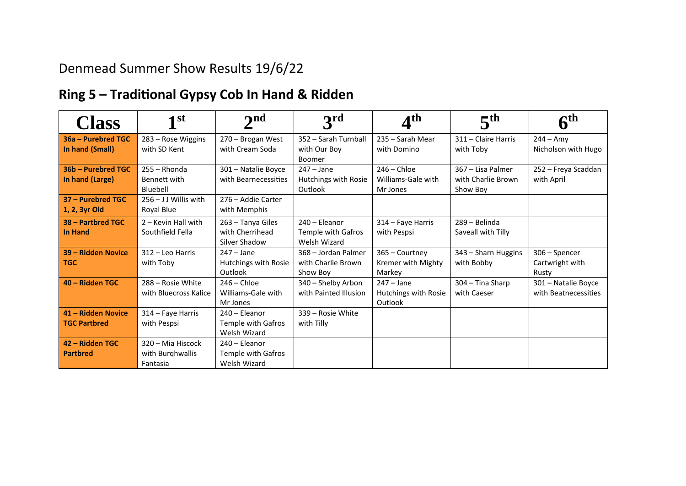## Denmead Summer Show Results 19/6/22

# **Ring 5 – Traditional Gypsy Cob In Hand & Ridden**

| <b>Class</b>                          | 1 <sup>st</sup>                    | 2 <sub>nd</sub>                      | 3 <sup>rd</sup>                      | $\mathbf{4}^\text{th}$          | 5 <sup>th</sup>                  | $\mathbf{c}$ th<br>o               |
|---------------------------------------|------------------------------------|--------------------------------------|--------------------------------------|---------------------------------|----------------------------------|------------------------------------|
| 36a – Purebred TGC<br>In hand (Small) | 283 - Rose Wiggins<br>with SD Kent | 270 - Brogan West<br>with Cream Soda | 352 - Sarah Turnball<br>with Our Boy | 235 - Sarah Mear<br>with Domino | 311 - Claire Harris<br>with Toby | $244 - Amy$<br>Nicholson with Hugo |
|                                       |                                    |                                      | Boomer                               |                                 |                                  |                                    |
| 36b - Purebred TGC                    | $255 - Rhonda$                     | 301 - Natalie Boyce                  | $247 - Jane$                         | $246 -$ Chloe                   | 367 - Lisa Palmer                | 252 - Freya Scaddan                |
| In hand (Large)                       | Bennett with                       | with Bearnecessities                 | Hutchings with Rosie                 | Williams-Gale with              | with Charlie Brown               | with April                         |
|                                       | Bluebell                           |                                      | Outlook                              | Mr Jones                        | Show Boy                         |                                    |
| 37 - Purebred TGC                     | $256 - J$ J Willis with            | 276 – Addie Carter                   |                                      |                                 |                                  |                                    |
| 1, 2, 3yr Old                         | Royal Blue                         | with Memphis                         |                                      |                                 |                                  |                                    |
| 38 - Partbred TGC                     | 2 - Kevin Hall with                | 263 - Tanya Giles                    | 240 - Eleanor                        | 314 - Faye Harris               | 289 - Belinda                    |                                    |
| <b>In Hand</b>                        | Southfield Fella                   | with Cherrihead                      | Temple with Gafros                   | with Pespsi                     | Saveall with Tilly               |                                    |
|                                       |                                    | Silver Shadow                        | Welsh Wizard                         |                                 |                                  |                                    |
| 39 - Ridden Novice                    | 312 - Leo Harris                   | $247 - Jane$                         | 368 - Jordan Palmer                  | 365 - Courtney                  | 343 - Sharn Huggins              | 306 - Spencer                      |
| <b>TGC</b>                            | with Toby                          | Hutchings with Rosie                 | with Charlie Brown                   | Kremer with Mighty              | with Bobby                       | Cartwright with                    |
|                                       |                                    | Outlook                              | Show Boy                             | Markey                          |                                  | Rusty                              |
| 40 - Ridden TGC                       | 288 - Rosie White                  | $246 -$ Chloe                        | 340 - Shelby Arbon                   | $247 - Jane$                    | 304 - Tina Sharp                 | 301 - Natalie Boyce                |
|                                       | with Bluecross Kalice              | Williams-Gale with                   | with Painted Illusion                | Hutchings with Rosie            | with Caeser                      | with Beatnecessities               |
|                                       |                                    | Mr Jones                             |                                      | Outlook                         |                                  |                                    |
| 41 - Ridden Novice                    | 314 – Faye Harris                  | 240 - Eleanor                        | 339 - Rosie White                    |                                 |                                  |                                    |
| <b>TGC Partbred</b>                   | with Pespsi                        | Temple with Gafros                   | with Tilly                           |                                 |                                  |                                    |
|                                       |                                    | Welsh Wizard                         |                                      |                                 |                                  |                                    |
| 42 - Ridden TGC                       | 320 - Mia Hiscock                  | 240 - Eleanor                        |                                      |                                 |                                  |                                    |
| <b>Partbred</b>                       | with Burghwallis                   | Temple with Gafros                   |                                      |                                 |                                  |                                    |
|                                       | Fantasia                           | Welsh Wizard                         |                                      |                                 |                                  |                                    |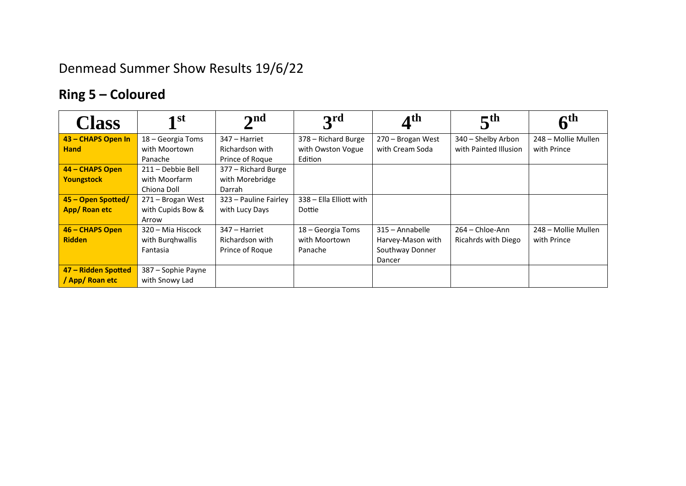# Denmead Summer Show Results 19/6/22

# **Ring 5 – Coloured**

| <b>Class</b>        | $\mathbf{1}$ st    | $\mathbf{\Omega}$     | 3rd                     | $\boldsymbol{A}^{\text{th}}$ | 5 <sup>th</sup>       | $\boldsymbol{6}^{\text{th}}$ |
|---------------------|--------------------|-----------------------|-------------------------|------------------------------|-----------------------|------------------------------|
| 43 - CHAPS Open In  | 18 - Georgia Toms  | 347 – Harriet         | 378 - Richard Burge     | 270 - Brogan West            | 340 - Shelby Arbon    | 248 - Mollie Mullen          |
| <b>Hand</b>         | with Moortown      | Richardson with       | with Owston Vogue       | with Cream Soda              | with Painted Illusion | with Prince                  |
|                     | Panache            | Prince of Roque       | Edition                 |                              |                       |                              |
| 44 - CHAPS Open     | 211 - Debbie Bell  | 377 - Richard Burge   |                         |                              |                       |                              |
| <b>Youngstock</b>   | with Moorfarm      | with Morebridge       |                         |                              |                       |                              |
|                     | Chiona Doll        | Darrah                |                         |                              |                       |                              |
| 45 - Open Spotted/  | 271 - Brogan West  | 323 - Pauline Fairley | 338 - Ella Elliott with |                              |                       |                              |
| App/Roan etc        | with Cupids Bow &  | with Lucy Days        | Dottie                  |                              |                       |                              |
|                     | Arrow              |                       |                         |                              |                       |                              |
| 46 - CHAPS Open     | 320 – Mia Hiscock  | 347 – Harriet         | 18 – Georgia Toms       | 315 - Annabelle              | $264 -$ Chloe-Ann     | 248 – Mollie Mullen          |
| <b>Ridden</b>       | with Burghwallis   | Richardson with       | with Moortown           | Harvey-Mason with            | Ricahrds with Diego   | with Prince                  |
|                     | Fantasia           | Prince of Roque       | Panache                 | Southway Donner              |                       |                              |
|                     |                    |                       |                         | Dancer                       |                       |                              |
| 47 - Ridden Spotted | 387 - Sophie Payne |                       |                         |                              |                       |                              |
| / App/ Roan etc     | with Snowy Lad     |                       |                         |                              |                       |                              |